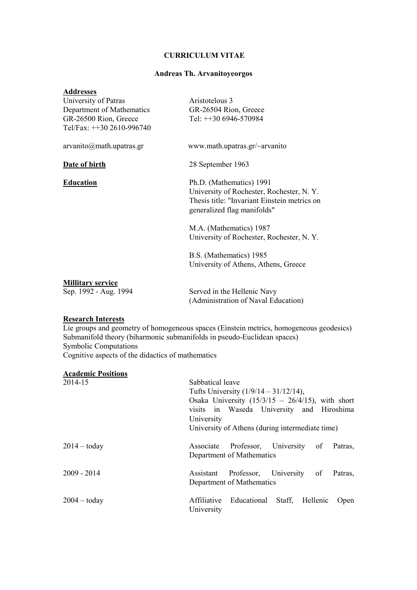#### **CURRICULUM VITAE**

## **Andreas Th. Arvanitoyeorgos**

| <b>Addresses</b><br>University of Patras<br>Department of Mathematics<br>GR-26500 Rion, Greece<br>Tel/Fax: ++30 2610-996740 | Aristotelous 3<br>GR-26504 Rion, Greece<br>Tel: $+306946-570984$                                                                                    |  |
|-----------------------------------------------------------------------------------------------------------------------------|-----------------------------------------------------------------------------------------------------------------------------------------------------|--|
| arvanito@mathmmath.updateas.gr                                                                                              | www.math.upatras.gr/~arvanito                                                                                                                       |  |
| Date of birth                                                                                                               | 28 September 1963                                                                                                                                   |  |
| <b>Education</b>                                                                                                            | Ph.D. (Mathematics) 1991<br>University of Rochester, Rochester, N.Y.<br>Thesis title: "Invariant Einstein metrics on<br>generalized flag manifolds" |  |
|                                                                                                                             | M.A. (Mathematics) 1987<br>University of Rochester, Rochester, N.Y.                                                                                 |  |
|                                                                                                                             | B.S. (Mathematics) 1985<br>University of Athens, Athens, Greece                                                                                     |  |
| <b>Millitary service</b><br>Sep. 1992 - Aug. 1994                                                                           | Served in the Hellenic Navy<br>(Administration of Naval Education)                                                                                  |  |

## **Research Interests**

Lie groups and geometry of homogeneous spaces (Einstein metrics, homogeneous geodesics) Submanifold theory (biharmonic submanifolds in pseudo-Euclidean spaces) Symbolic Computations Cognitive aspects of the didactics of mathematics

# **Academic Positions**

| 2014-15        | Sabbatical leave                                    |  |  |  |
|----------------|-----------------------------------------------------|--|--|--|
|                | Tufts University $(1/9/14 - 31/12/14)$ ,            |  |  |  |
|                | Osaka University $(15/3/15 - 26/4/15)$ , with short |  |  |  |
|                | visits in Waseda University and Hiroshima           |  |  |  |
|                | University                                          |  |  |  |
|                | University of Athens (during intermediate time)     |  |  |  |
| $2014 -$ today | Associate Professor, University of<br>Patras,       |  |  |  |
|                | Department of Mathematics                           |  |  |  |
| $2009 - 2014$  | Professor, University of<br>Assistant<br>Patras,    |  |  |  |
|                | Department of Mathematics                           |  |  |  |
| $2004 -$ today | Educational Staff, Hellenic<br>Affiliative<br>Open  |  |  |  |
|                | University                                          |  |  |  |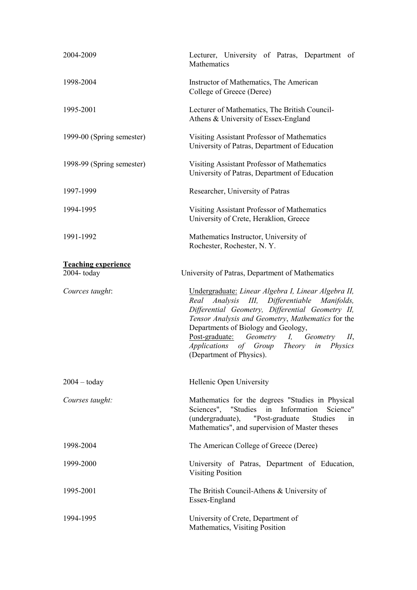| 2004-2009                  | Lecturer, University of Patras, Department<br>of<br>Mathematics                                                                                                                                                                                                                                                                                                                                |  |  |  |
|----------------------------|------------------------------------------------------------------------------------------------------------------------------------------------------------------------------------------------------------------------------------------------------------------------------------------------------------------------------------------------------------------------------------------------|--|--|--|
| 1998-2004                  | Instructor of Mathematics, The American<br>College of Greece (Deree)                                                                                                                                                                                                                                                                                                                           |  |  |  |
| 1995-2001                  | Lecturer of Mathematics, The British Council-<br>Athens & University of Essex-England                                                                                                                                                                                                                                                                                                          |  |  |  |
| 1999-00 (Spring semester)  | Visiting Assistant Professor of Mathematics<br>University of Patras, Department of Education                                                                                                                                                                                                                                                                                                   |  |  |  |
| 1998-99 (Spring semester)  | Visiting Assistant Professor of Mathematics<br>University of Patras, Department of Education                                                                                                                                                                                                                                                                                                   |  |  |  |
| 1997-1999                  | Researcher, University of Patras                                                                                                                                                                                                                                                                                                                                                               |  |  |  |
| 1994-1995                  | Visiting Assistant Professor of Mathematics<br>University of Crete, Heraklion, Greece                                                                                                                                                                                                                                                                                                          |  |  |  |
| 1991-1992                  | Mathematics Instructor, University of<br>Rochester, Rochester, N.Y.                                                                                                                                                                                                                                                                                                                            |  |  |  |
| <b>Teaching experience</b> |                                                                                                                                                                                                                                                                                                                                                                                                |  |  |  |
| $2004 -$ today             | University of Patras, Department of Mathematics                                                                                                                                                                                                                                                                                                                                                |  |  |  |
| Cources taught:            | Undergraduate: Linear Algebra I, Linear Algebra II,<br>Analysis III, Differentiable Manifolds,<br>Real<br>Differential Geometry, Differential Geometry II,<br>Tensor Analysis and Geometry, Mathematics for the<br>Departments of Biology and Geology,<br>Post-graduate: Geometry I, Geometry<br>$II$ ,<br>Applications of Group<br>Theory<br><i>Physics</i><br>in<br>(Department of Physics). |  |  |  |
| $2004 - today$             | Hellenic Open University                                                                                                                                                                                                                                                                                                                                                                       |  |  |  |
| Courses taught:            | Mathematics for the degrees "Studies in Physical<br>Sciences", "Studies in Information<br>Science"<br>(undergraduate), "Post-graduate"<br>Studies<br>1n<br>Mathematics", and supervision of Master theses                                                                                                                                                                                      |  |  |  |
| 1998-2004                  | The American College of Greece (Deree)                                                                                                                                                                                                                                                                                                                                                         |  |  |  |
| 1999-2000                  | University of Patras, Department of Education,<br><b>Visiting Position</b>                                                                                                                                                                                                                                                                                                                     |  |  |  |
| 1995-2001                  | The British Council-Athens & University of<br>Essex-England                                                                                                                                                                                                                                                                                                                                    |  |  |  |
| 1994-1995                  | University of Crete, Department of<br>Mathematics, Visiting Position                                                                                                                                                                                                                                                                                                                           |  |  |  |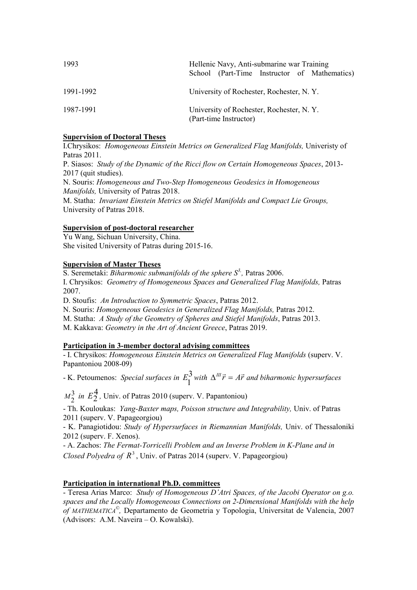| 1993      | Hellenic Navy, Anti-submarine war Training<br>School (Part-Time Instructor of Mathematics) |  |  |  |
|-----------|--------------------------------------------------------------------------------------------|--|--|--|
| 1991-1992 | University of Rochester, Rochester, N.Y.                                                   |  |  |  |
| 1987-1991 | University of Rochester, Rochester, N.Y.<br>(Part-time Instructor)                         |  |  |  |

# **Supervision of Doctoral Theses**

I.Chrysikos: *Homogeneous Einstein Metrics on Generalized Flag Manifolds,* Univeristy of Patras 2011.

P. Siasos: *Study of the Dynamic of the Ricci flow on Certain Homogeneous Spaces*, 2013- 2017 (quit studies).

N. Souris: *Homogeneous and Two-Step Homogeneous Geodesics in Homogeneous Manifolds,* University of Patras 2018.

M. Statha: *Invariant Einstein Metrics on Stiefel Manifolds and Compact Lie Groups,*  University of Patras 2018.

# **Supervision of post-doctoral researcher**

Yu Wang, Sichuan University, China. She visited University of Patras during 2015-16.

## **Supervision of Master Theses**

S. Seremetaki: *Biharmonic submanifolds of the sphere S3, ,* Patras 2006. I. Chrysikos: *Geometry of Homogeneous Spaces and Generalized Flag Manifolds,* Patras 2007.

D. Stoufis: *An Introduction to Symmetric Spaces*, Patras 2012.

N. Souris: *Ηοmogeneous Geodesics in Generalized Flag Manifolds,* Patras 2012.

M. Statha: *A Study of the Geometry of Spheres and Stiefel Manifolds*, Patras 2013.

M. Kakkava: *Geometry in the Art of Ancient Greece*, Patras 2019.

# **Participation in 3-member doctoral advising committees**

- I. Chrysikos: *Homogeneous Einstein Metrics on Generalized Flag Manifolds* (superv. V. Papantoniou 2008-09)

**EXECUTE:** External Equinos: Special surfaces in  $E_1^3$  with  $\Delta^{\text{III}}\vec{r} = A\vec{r}$  and biharmonic hypersurfaces

3  $M_2^3$  *in E*<sup>4</sup><sub>2</sub>, Univ. of Patras 2010 (superv. V. Papantoniou)

- Th. Kouloukas: *Yang-Baxter maps, Poisson structure and Integrability,* Univ. of Patras 2011 (superv. V. Papageorgiou)

- K. Panagiotidou: *Study of Hypersurfaces in Riemannian Manifolds,* Univ. of Thessaloniki 2012 (superv. F. Xenos).

- A. Zachos: *The Fermat-Torricelli Problem and an Inverse Problem in K-Plane and in Closed Polyedra of*  $R^3$ *, Univ.* of Patras 2014 (superv. V. Papageorgiou)

# **Participation in international Ph.D. committees**

- Teresa Arias Marco: *Study of Homogeneous D'Atri Spaces, of the Jacobi Operator on g.o. spaces and the Locally Homogeneous Connections on 2-Dimensional Manifolds with the help of MATHEMATICA© ,* Departamento de Geometria y Topologia, Universitat de Valencia, 2007 (Advisors: Α.Μ. Naveira – O. Kowalski).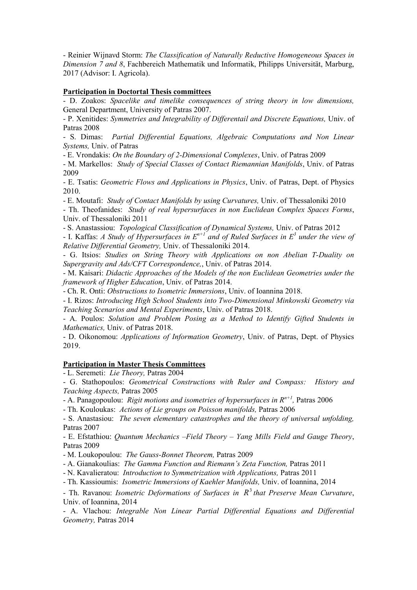- Reinier Wijnaνd Storm: *The Classification of Naturally Reductive Homogeneous Spaces in Dimension 7 and 8*, Fachbereich Mathematik und Informatik, Philipps Universität, Marburg, 2017 (Advisor: Ι. Agricola).

## **Participation in Doctortal Thesis committees**

- D. Zoakos: *Spacelike and timelike consequences of string theory in low dimensions,*  General Department, University of Patras 2007.

- P. Xenitides: *Symmetries and Integrability of Differentail and Discrete Equations,* Univ. of Patras 2008

- S. Dimas: *Partial Differential Equations, Algebraic Computations and Non Linear Systems,* Univ. of Patras

- Ε. Vrondakis: *On the Boundary of 2-Dimensional Complexes*, Univ. of Patras 2009

- M. Markellos: *Study of Special Classes of Contact Riemannian Manifolds*, Univ. of Patras 2009

- Ε. Tsatis: *Geometric Flows and Applications in Physics*, Univ. of Patras, Dept. of Physics 2010.

- Ε. Moutafi: *Study of Contact Manifolds by using Curvatures,* Univ. of Thessaloniki 2010

- Th. Theofanides: *Study of real hypersurfaces in non Euclidean Complex Spaces Forms*, Univ. of Thessaloniki 2011

- S. Anastassiou: *Topological Classification of Dynamical Systems,* Univ. of Patras 2012

- Ι. Kaffas: *A Study of Hypersurfaces in En+1 and of Ruled Surfaces in E<sup>3</sup> under the view of Relative Differential Geometry,* Univ. of Thessaloniki 2014.

- G. Itsios: *Studies on String Theory with Applications on non Abelian T-Duality on Supergravity and Ads/CFT Correspondence,*, Univ. of Patras 2014.

- M. Kaisari: *Didactic Approaches of the Models of the non Euclidean Geometries under the framework of Higher Education*, Univ. of Patras 2014.

- Ch. R. Onti: *Obstructions to Isometric Immersions*, Univ. of Ioannina 2018.

- Ι. Rizos: *Introducing High School Students into Two-Dimensional Minkowski Geometry via Teaching Scenarios and Mental Experiments*, Univ. of Patras 2018.

- A. Poulos: *Solution and Problem Posing as a Method to Identify Gifted Students in Mathematics,* Univ. of Patras 2018.

- D. Oikonomou: *Applications of Information Geometry*, Univ. of Patras, Dept. of Physics 2019.

### **Participation in Master Thesis Committees**

- L. Seremeti: *Lie Theory,* Patras 2004

- G. Stathopoulos: *Geometrical Constructions with Ruler and Compass: History and Teaching Aspects,* Patras 2005

- A. Panagopoulou: *Rigit motions and isometries of hypersurfaces in Rn+1 ,* Patras 2006

- Th. Kouloukas: *Actions of Lie groups on Poisson manifolds,* Patras 2006

- S. Anastasiou: *The seven elementary catastrophes and the theory of universal unfolding,*  Patras 2007

- Ε. Εfstathiou: *Quantum Mechanics –Field Theory – Yang Mills Field and Gauge Theory*, Patras 2009

- M. Loukopoulou: *The Gauss-Bonnet Theorem,* Patras 2009

- Α. Gianakoulias: *The Gamma Function and Riemann's Zeta Function,* Patras 2011

- N. Κavalieratou: *Introduction to Symmetrization with Applications,* Patras 2011

- Th. Kassioumis: *Isometric Immersions of Kaehler Manifolds,* Univ. of Ioannina, 2014

- Th. Ravanou: *Isometric Deformations of Surfaces in R<sup>3</sup> that Preserve Mean Curvature*, Univ. of Ioannina, 2014

- A. Vlachou: *Integrable Non Linear Partial Differential Equations and Differential Geometry,* Patras 2014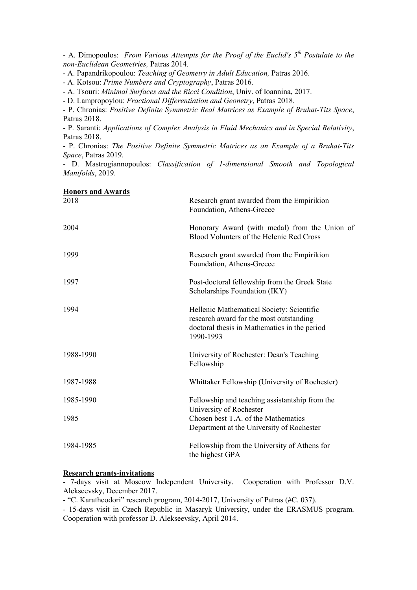- A. Dimopoulos: *From Various Attempts for the Proof of the Euclid's 5th Postulate to the non-Euclidean Geometries,* Patras 2014.

- A. Papandrikopoulou: *Teaching of Geometry in Adult Education,* Patras 2016.

- A. Kotsou: *Prime Numbers and Cryptography*, Patras 2016.

- A. Tsouri: *Minimal Surfaces and the Ricci Condition*, Univ. of Ioannina, 2017.

- D. Lampropoylou: *Fractional Differentiation and Geonetry*, Patras 2018.

- P. Chronias: *Positive Definite Symmetric Real Matrices as Example of Bruhat-Tits Space*, Patras 2018.

- P. Saranti: *Applications of Complex Analysis in Fluid Mechanics and in Special Relativity*, Patras 2018.

- P. Chronias: *The Positive Definite Symmetric Matrices as an Example of a Bruhat-Tits Space*, Patras 2019.

- D. Mastrogiannopoulos: *Classification of 1-dimensional Smooth and Topological Manifolds*, 2019.

| <b>Honors and Awards</b><br>2018 | Research grant awarded from the Empirikion<br>Foundation, Athens-Greece                                                                           |  |
|----------------------------------|---------------------------------------------------------------------------------------------------------------------------------------------------|--|
| 2004                             | Honorary Award (with medal) from the Union of<br>Blood Volunters of the Helenic Red Cross                                                         |  |
| 1999                             | Research grant awarded from the Empirikion<br>Foundation, Athens-Greece                                                                           |  |
| 1997                             | Post-doctoral fellowship from the Greek State<br>Scholarships Foundation (IKY)                                                                    |  |
| 1994                             | Hellenic Mathematical Society: Scientific<br>research award for the most outstanding<br>doctoral thesis in Mathematics in the period<br>1990-1993 |  |
| 1988-1990                        | University of Rochester: Dean's Teaching<br>Fellowship                                                                                            |  |
| 1987-1988                        | Whittaker Fellowship (University of Rochester)                                                                                                    |  |
| 1985-1990                        | Fellowship and teaching assistantship from the<br>University of Rochester                                                                         |  |
| 1985                             | Chosen best T.A. of the Mathematics<br>Department at the University of Rochester                                                                  |  |
| 1984-1985                        | Fellowship from the University of Athens for<br>the highest GPA                                                                                   |  |

## **Research grants-invitations**

- 7-days visit at Moscow Independent University. Cooperation with Professor D.V. Alekseevsky, December 2017.

- "C. Karatheodori" research program, 2014-2017, University of Patras (#C. 037).

- 15-days visit in Czech Republic in Masaryk University, under the ERASMUS program. Cooperation with professor D. Alekseevsky, April 2014.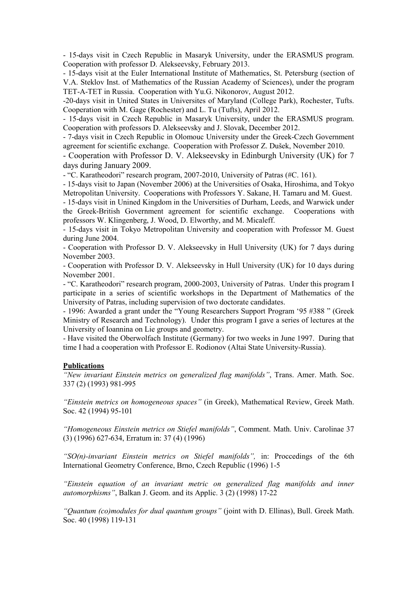- 15-days visit in Czech Republic in Masaryk University, under the ERASMUS program. Cooperation with professor D. Alekseevsky, February 2013.

- 15-days visit at the Euler International Institute of Mathematics, St. Petersburg (section of V.A. Steklov Inst. of Mathematics of the Russian Academy of Sciences), under the program TET-A-TET in Russia. Cooperation with Yu.G. Nikonorov, August 2012.

-20-days visit in United States in Universites of Maryland (College Park), Rochester, Tufts. Cooperation with M. Gage (Rochester) and L. Tu (Tufts), April 2012.

- 15-days visit in Czech Republic in Masaryk University, under the ERASMUS program. Cooperation with professors D. Alekseevsky and J. Slovak, December 2012.

- 7-days visit in Czech Republic in Olomouc University under the Greek-Czech Government agreement for scientific exchange. Cooperation with Professor Z. Dušek, November 2010.

- Cooperation with Professor D. V. Alekseevsky in Edinburgh University (UK) for 7 days during January 2009.

- "C. Karatheodori" research program, 2007-2010, University of Patras (#C. 161).

- 15-days visit to Japan (Νovember 2006) at the Universities of Osaka, Hiroshima, and Τokyo Metropolitan University. Cooperations with Professors Υ. Sakane, H. Tamaru and M. Guest.

- 15-days visit in Unined Kingdom in the Universities of Durham, Leeds, and Warwick under the Greek-British Government agreement for scientific exchange. Cooperations with professors W. Klingenberg, J. Wood, D. Elworthy, and M. Micaleff.

- 15-days visit in Tokyo Metropolitan University and cooperation with Professor M. Guest during June 2004.

- Cooperation with Professor D. V. Alekseevsky in Hull University (UK) for 7 days during November 2003.

- Cooperation with Professor D. V. Alekseevsky in Hull University (UK) for 10 days during November 2001.

- "C. Karatheodori" research program, 2000-2003, University of Patras. Under this program I participate in a series of scientific workshops in the Department of Mathematics of the University of Patras, including supervision of two doctorate candidates.

- 1996: Awarded a grant under the "Young Researchers Support Program '95 #388 " (Greek Ministry of Research and Technology). Under this program I gave a series of lectures at the University of Ioannina on Lie groups and geometry.

- Have visited the Oberwolfach Institute (Germany) for two weeks in June 1997. During that time I had a cooperation with Professor E. Rodionov (Altai State University-Russia).

# **Publications**

*"New invariant Einstein metrics on generalized flag manifolds"*, Trans. Amer. Math. Soc. 337 (2) (1993) 981-995

*"Einstein metrics on homogeneous spaces"* (in Greek), Mathematical Review, Greek Math. Soc. 42 (1994) 95-101

*"Homogeneous Einstein metrics on Stiefel manifolds"*, Comment. Math. Univ. Carolinae 37 (3) (1996) 627-634, Erratum in: 37 (4) (1996)

*"SO(n)-invariant Einstein metrics on Stiefel manifolds",* in: Proccedings of the 6th International Geometry Conference, Brno, Czech Republic (1996) 1-5

*"Einstein equation of an invariant metric on generalized flag manifolds and inner automorphisms"*, Balkan J. Geom. and its Applic. 3 (2) (1998) 17-22

*"Quantum (co)modules for dual quantum groups"* (joint with D. Ellinas), Bull. Greek Math. Soc. 40 (1998) 119-131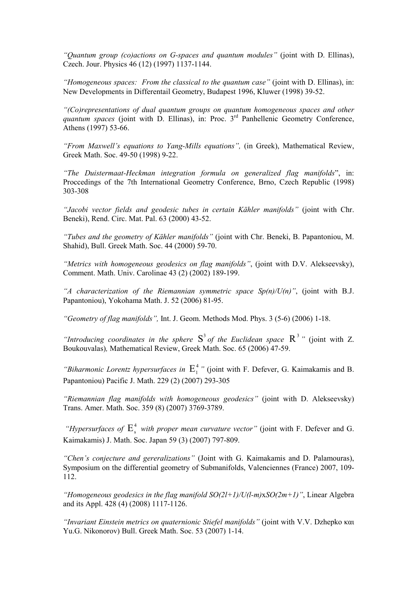*"Quantum group (co)actions on G-spaces and quantum modules"* (joint with D. Ellinas), Czech. Jour. Physics 46 (12) (1997) 1137-1144.

*"Homogeneous spaces: From the classical to the quantum case"* (joint with D. Ellinas), in: New Developments in Differentail Geometry, Budapest 1996, Kluwer (1998) 39-52.

*"(Co)representations of dual quantum groups on quantum homogeneous spaces and other quantum spaces* (joint with D. Ellinas), in: Proc. 3rd Panhellenic Geometry Conference, Athens (1997) 53-66.

*"From Maxwell's equations to Yang-Mills equations",* (in Greek), Mathematical Review, Greek Math. Soc. 49-50 (1998) 9-22.

*"The Duistermaat-Heckman integration formula on generalized flag manifolds*", in: Proccedings of the 7th International Geometry Conference, Brno, Czech Republic (1998) 303-308

*"Jacobi vector fields and geodesic tubes in certain Kähler manifolds"* (joint with Chr. Beneki), Rend. Circ. Mat. Pal. 63 (2000) 43-52.

*"Tubes and the geometry of Kähler manifolds"* (joint with Chr. Beneki, B. Papantoniou, M. Shahid), Bull. Greek Math. Soc. 44 (2000) 59-70.

*"Metrics with homogeneous geodesics on flag manifolds"*, (joint with D.V. Alekseevsky), Comment. Math. Univ. Carolinae 43 (2) (2002) 189-199.

*"A characterization of the Riemannian symmetric space Sp(n)/U(n)"*, (joint with B.J. Papantoniou), Yokohama Math. J. 52 (2006) 81-95.

*"Geometry of flag manifolds",* Int. J. Geom. Methods Mod. Phys. 3 (5-6) (2006) 1-18.

*"Introducing coordinates in the sphere*  $S^3$  *of the Euclidean space*  $R^3$ *" (joint with Z.* Boukouvalas)*,* Mathematical Review, Greek Math. Soc. 65 (2006) 47-59.

"Biharmonic Lorentz hypersurfaces in  $E_1^4$ " (joint with F. Defever, G. Kaimakamis and B. Papantoniou) Pacific J. Math. 229 (2) (2007) 293-305

*"Riemannian flag manifolds with homogeneous geodesics"* (joint with D. Alekseevsky) Trans. Amer. Math. Soc. 359 (8) (2007) 3769-3789.

*"Hypersurfaces of*  $E_s^4$  *with proper mean curvature vector"* (joint with F. Defever and G. Kaimakamis) J. Math. Soc. Japan 59 (3) (2007) 797-809.

*"Chen's conjecture and gereralizations"* (Joint with G. Kaimakamis and D. Palamouras), Symposium on the differential geometry of Submanifolds, Valenciennes (France) 2007, 109- 112.

*"Homogeneous geodesics in the flag manifold SO(2l+1)/U(l-m)*x*SO(2m+1)"*, Linear Algebra and its Appl. 428 (4) (2008) 1117-1126.

*"Invariant Einstein metrics on quaternionic Stiefel manifolds"* (joint with V.V. Dzhepko και Yu.G. Nikonorov) Bull. Greek Math. Soc. 53 (2007) 1-14.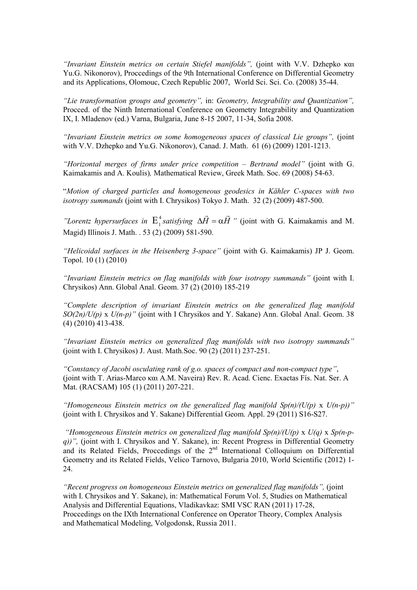*"Invariant Einstein metrics on certain Stiefel manifolds",* (joint with V.V. Dzhepko και Yu.G. Nikonorov), Proccedings of the 9th International Conference on Differential Geometry and its Applications, Olomouc, Czech Republic 2007, World Sci. Sci. Co. (2008) 35-44.

*"Lie transformation groups and geometry",* in: *Geometry, Integrability and Quantization",*  Procced. of the Ninth International Conference on Geometry Integrability and Quantization IX, I. Mladenov (ed.) Varna, Bulgaria, June 8-15 2007, 11-34, Sofia 2008.

*"Invariant Einstein metrics on some homogeneous spaces of classical Lie groups",* (joint with V.V. Dzhepko and Yu.G. Nikonorov), Canad. J. Math. 61 (6) (2009) 1201-1213.

*"Horizontal merges of firms under price competition – Bertrand model"* (joint with G. Kaimakamis and A. Koulis)*,* Mathematical Review, Greek Math. Soc. 69 (2008) 54-63.

"*Motion of charged particles and homogeneous geodesics in Kähler C-spaces with two isotropy summands* (joint with I. Chrysikos) Tokyo J. Math. 32 (2) (2009) 487-500.

"Lorentz hypersurfaces in  $E_1^4$  satisfying  $\Delta \vec{H} = \alpha \vec{H}$  $\rightarrow$  $\Delta H = \alpha H$  " (joint with G. Kaimakamis and M. Magid) Illinois J. Math. . 53 (2) (2009) 581-590.

*"Helicoidal surfaces in the Heisenberg 3-space"* (joint with G. Kaimakamis) JP J. Geom. Topol. 10 (1) (2010)

*"Invariant Einstein metrics on flag manifolds with four isotropy summands"* (joint with I. Chrysikos) Ann. Global Anal. Geom. 37 (2) (2010) 185-219

*"Complete description of invariant Einstein metrics on the generalized flag manifold SO(2n)/U(p)* x *U(n-p)"* (joint with I Chrysikos and Y. Sakane) Ann. Global Anal. Geom. 38 (4) (2010) 413-438.

*"Invariant Einstein metrics on generalized flag manifolds with two isotropy summands"*  (joint with I. Chrysikos) J. Aust. Math.Soc. 90 (2) (2011) 237-251.

*"Constancy of Jacobi osculating rank of g.o. spaces of compact and non-compact type"*, (joint with T. Arias-Marco και A.M. Naveira) Rev. R. Acad. Cienc. Exactas Fís. Nat. Ser. A Mat. (RACSAM) 105 (1) (2011) 207-221.

*"Homogeneous Einstein metrics on the generalized flag manifold Sp(n)/(U(p)* x *U(n-p))"*  (joint with I. Chrysikos and Y. Sakane) Differential Geom. Appl. 29 (2011) S16-S27.

*"Homogeneous Einstein metrics on generalized flag manifold Sp(n)/(U(p)* x *U(q)* x *Sp(n-pq))"*, (joint with I. Chrysikos and Y. Sakane), in: Recent Progress in Differential Geometry and its Related Fields. Proccedings of the  $2<sup>nd</sup>$  International Colloquium on Differential Geometry and its Related Fields, Velico Tarnovo, Bulgaria 2010, World Scientific (2012) 1- 24.

*"Recent progress on homogeneous Einstein metrics on generalized flag manifolds",* (joint with I. Chrysikos and Y. Sakane), in: Mathematical Forum Vol. 5, Studies on Mathematical Analysis and Differential Equations, Vladikavkaz: SMI VSC RAN (2011) 17-28, Proccedings on the IXth International Conference on Operator Theory, Complex Analysis and Mathematical Modeling, Volgodonsk, Russia 2011.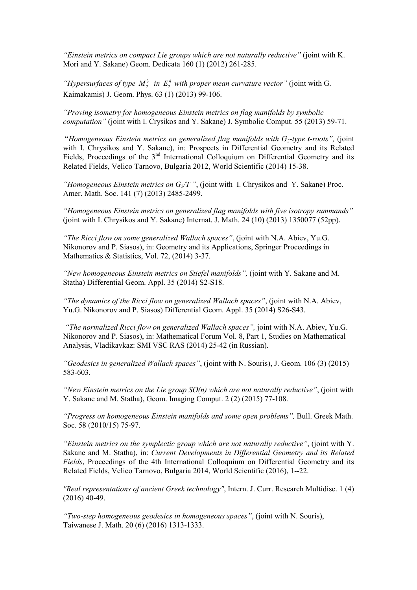*"Einstein metrics on compact Lie groups which are not naturally reductive"* (joint with K. Mori and Y. Sakane) Geom. Dedicata 160 (1) (2012) 261-285.

"*Hypersurfaces of type*  $M_2^3$  *in*  $E_2^4$  *with proper mean curvature vector*" (joint with G. Kaimakamis) J. Geom. Phys. 63 (1) (2013) 99-106.

*"Proving isometry for homogeneous Einstein metrics on flag manifolds by symbolic computation"* (joint with I. Crysikos and Y. Sakane) J. Symbolic Comput. 55 (2013) 59-71.

 "*Homogeneous Einstein metrics on generalized flag manifolds with G2-type t-roots",* (joint with I. Chrysikos and Y. Sakane), in: Prospects in Differential Geometry and its Related Fields, Proccedings of the 3<sup>nd</sup> International Colloquium on Differential Geometry and its Related Fields, Velico Tarnovo, Bulgaria 2012, World Scientific (2014) 15-38.

*"Homogeneous Einstein metrics on G2/T "*, (joint with I. Chrysikos and Y. Sakane) Proc. Amer. Math. Soc. 141 (7) (2013) 2485-2499.

*"Homogeneous Einstein metrics on generalized flag manifolds with five isotropy summands"* (joint with I. Chrysikos and Y. Sakane) Internat. J. Math. 24 (10) (2013) 1350077 (52pp).

*"The Ricci flow on some generalized Wallach spaces"*, (joint with Ν.Α. Abiev, Yu.G. Nikonorov and P. Siasos), in: Geometry and its Applications, Springer Proceedings in Mathematics & Statistics, Vol. 72, (2014) 3-37.

*"New homogeneous Einstein metrics on Stiefel manifolds",* (joint with Y. Sakane and M. Statha) Differential Geom. Appl. 35 (2014) S2-S18.

*"The dynamics of the Ricci flow on generalized Wallach spaces"*, (joint with Ν.Α. Abiev, Yu.G. Nikonorov and P. Siasos) Differential Geom. Appl. 35 (2014) S26-S43.

*"The normalized Ricci flow on generalized Wallach spaces",* joint with Ν.Α. Abiev, Yu.G. Nikonorov and P. Siasos), in: Mathematical Forum Vol. 8, Part 1, Studies on Mathematical Analysis, Vladikavkaz: SMI VSC RAS (2014) 25-42 (in Russian).

*"Geodesics in generalized Wallach spaces"*, (joint with N. Souris), J. Geom. 106 (3) (2015) 583-603.

*"New Einstein metrics on the Lie group SO(n) which are not naturally reductive"*, (joint with Y. Sakane and M. Statha), Geom. Imaging Comput. 2 (2) (2015) 77-108.

*"Progress on homogeneous Einstein manifolds and some open problems",* Bull. Greek Math. Soc. 58 (2010/15) 75-97.

*"Einstein metrics on the symplectic group which are not naturally reductive"*, (joint with Y. Sakane and M. Statha), in: *Current Developments in Differential Geometry and its Related Fields*, Proceedings of the 4th International Colloquium on Differential Geometry and its Related Fields, Velico Tarnovo, Bulgaria 2014, World Scientific (2016), 1--22.

*"Real representations of ancient Greek technology"*, Intern. J. Curr. Research Multidisc. 1 (4) (2016) 40-49.

*"Two-step homogeneous geodesics in homogeneous spaces"*, (joint with N. Souris), Taiwanese J. Math. 20 (6) (2016) 1313-1333.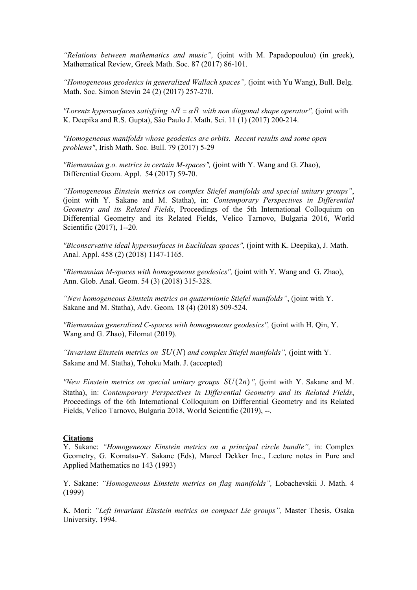*"Relations between mathematics and music",* (joint with M. Papadopoulou) (in greek), Mathematical Review, Greek Math. Soc. 87 (2017) 86-101.

*"Homogeneous geodesics in generalized Wallach spaces",* (joint with Yu Wang), Bull. Belg. Math. Soc. Simon Stevin 24 (2) (2017) 257-270.

*"Lorentz hypersurfaces satisfying*  $\Delta \vec{H} = \alpha \vec{H}$  $\overline{r}$  *with non diagonal shape operator",* (joint with Κ. Deepika and R.S. Gupta), São Paulo J. Math. Sci. 11 (1) (2017) 200-214.

*"Homogeneous manifolds whose geodesics are orbits. Recent results and some open problems"*, Irish Math. Soc. Bull. 79 (2017) 5-29

*"Riemannian g.o. metrics in certain Μ-spaces",* (joint with Y. Wang and G. Zhao), Differential Geom. Appl. 54 (2017) 59-70.

*"Homogeneous Einstein metrics on complex Stiefel manifolds and special unitary groups"*, (joint with Y. Sakane and M. Statha), in: *Contemporary Perspectives in Differential Geometry and its Related Fields*, Proceedings of the 5th Ιnternational Colloquium on Differential Geometry and its Related Fields, Velico Tarnovo, Bulgaria 2016, World Scientific (2017), 1--20.

*"Biconservative ideal hypersurfaces in Euclidean spaces"*, (joint with K. Deepika), J. Math. Anal. Appl. 458 (2) (2018) 1147-1165.

*"Riemannian Μ-spaces with homogeneous geodesics",* (joint with Y. Wang and G. Zhao), Ann. Glob. Anal. Geom. 54 (3) (2018) 315-328.

*"New homogeneous Einstein metrics on quaternionic Stiefel manifolds"*, (joint with Y. Sakane and M. Statha), Adv. Geom. 18 (4) (2018) 509-524.

*"Riemannian generalized C-spaces with homogeneous geodesics",* (joint with H. Qin, Y. Wang and G. Zhao), Filomat (2019).

*"Invariant Einstein metrics on*  $SU(N)$  *and complex Stiefel manifolds", (joint with Y.* Sakane and M. Statha), Tohoku Math. J. (accepted)

*"New Einstein metrics on special unitary groups*  $SU(2n)$ *", (joint with Y. Sakane and M.* Statha), in: *Contemporary Perspectives in Differential Geometry and its Related Fields*, Proceedings of the 6th Ιnternational Colloquium on Differential Geometry and its Related Fields, Velico Tarnovo, Bulgaria 2018, World Scientific (2019), --.

#### **Citations**

Y. Sakane: *"Homogeneous Einstein metrics on a principal circle bundle",* in: Complex Geometry, G. Komatsu-Y. Sakane (Eds), Marcel Dekker Inc., Lecture notes in Pure and Applied Mathematics no 143 (1993)

Y. Sakane: *"Homogeneous Einstein metrics on flag manifolds",* Lobachevskii J. Math. 4 (1999)

K. Mori: *"Left invariant Einstein metrics on compact Lie groups",* Master Thesis, Osaka University, 1994.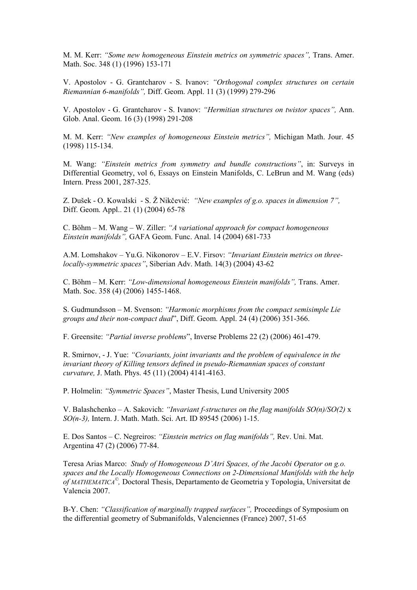M. M. Kerr: *"Some new homogeneous Einstein metrics on symmetric spaces",* Trans. Amer. Math. Soc. 348 (1) (1996) 153-171

V. Apostolov - G. Grantcharov - S. Ivanov: *"Orthogonal complex structures on certain Riemannian 6-manifolds",* Diff. Geom. Appl. 11 (3) (1999) 279-296

V. Apostolov - G. Grantcharov - S. Ivanov: *"Hermitian structures on twistor spaces",* Ann. Glob. Anal. Geom. 16 (3) (1998) 291-208

M. M. Kerr: *"New examples of homogeneous Einstein metrics",* Michigan Math. Jour. 45 (1998) 115-134.

M. Wang: *"Einstein metrics from symmetry and bundle constructions"*, in: Surveys in Differential Geometry, vol 6, Essays on Einstein Manifolds, C. LeBrun and M. Wang (eds) Intern. Press 2001, 287-325.

Z. Dušek - O. Kowalski - S. Ž Nikčević: *"New examples of g.o. spaces in dimension 7",*  Diff. Geom. Appl.. 21 (1) (2004) 65-78

C. Böhm – M. Wang – W. Ziller: *"A variational approach for compact homogeneous Einstein manifolds",* GAFA Geom. Func. Anal. 14 (2004) 681-733

A.M. Lomshakov – Yu.G. Nikonorov – E.V. Firsov: *"Invariant Einstein metrics on threelocally-symmetric spaces"*, Siberian Adv. Math. 14(3) (2004) 43-62

C. Böhm – M. Kerr: *"Low-dimensional homogeneous Einstein manifolds",* Trans. Amer. Math. Soc. 358 (4) (2006) 1455-1468.

S. Gudmundsson – M. Svenson: *"Harmonic morphisms from the compact semisimple Lie groups and their non-compact dual*", Diff. Geom. Appl. 24 (4) (2006) 351-366.

F. Greensite: *"Partial inverse problems*", Inverse Problems 22 (2) (2006) 461-479.

R. Smirnov, - J. Yue: *"Covariants, joint invariants and the problem of equivalence in the invariant theory of Killing tensors defined in pseudo-Riemannian spaces of constant curvature,* J. Math. Phys. 45 (11) (2004) 4141-4163.

P. Holmelin: *"Symmetric Spaces"*, Master Thesis, Lund University 2005

V. Balashchenko – A. Sakovich: *"Invariant f-structures on the flag manifolds SO(n)/SO(2)* x *SO(n-3),* Intern. J. Math. Math. Sci. Art. ID 89545 (2006) 1-15.

E. Dos Santos – C. Negreiros: *"Einstein metrics on flag manifolds",* Rev. Uni. Mat. Argentina 47 (2) (2006) 77-84.

Teresa Arias Marco: *Study of Homogeneous D'Atri Spaces, of the Jacobi Operator on g.o. spaces and the Locally Homogeneous Connections on 2-Dimensional Manifolds with the help of MATHEMATICA© ,* Doctoral Thesis, Departamento de Geometria y Topologia, Universitat de Valencia 2007.

B-Y. Chen: *"Classification of marginally trapped surfaces",* Proceedings of Symposium on the differential geometry of Submanifolds, Valenciennes (France) 2007, 51-65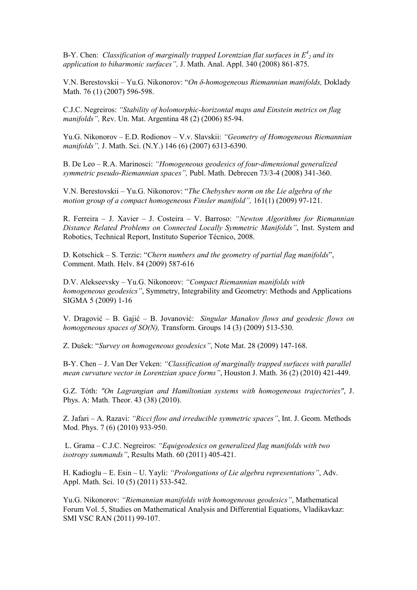B-Y. Chen: *Classification of marginally trapped Lorentzian flat surfaces in E<sup>4</sup> <sup>2</sup> and its application to biharmonic surfaces",* J. Math. Anal. Appl. 340 (2008) 861-875.

V.N. Berestovskii – Yu.G. Nikonorov: "*On δ-homogeneous Riemannian manifolds,* Doklady Math. 76 (1) (2007) 596-598.

C.J.C. Negreiros: *"Stability of holomorphic-horizontal maps and Einstein metrics on flag manifolds",* Rev. Un. Mat. Argentina 48 (2) (2006) 85-94.

Yu.G. Nikonorov – E.D. Rodionov – V.v. Slavskii: *"Geometry of Homogeneous Riemannian manifolds",* J. Math. Sci. (N.Y.) 146 (6) (2007) 6313-6390.

B. De Leo – R.A. Marinosci: *"Homogeneous geodesics of four-dimensional generalized symmetric pseudo-Riemannian spaces",* Publ. Math. Debrecen 73/3-4 (2008) 341-360.

V.N. Berestovskii – Yu.G. Nikonorov: "*The Chebyshev norm on the Lie algebra of the motion group of a compact homogeneous Finsler manifold",* 161(1) (2009) 97-121.

R. Ferreira – J. Xavier – J. Costeira – V. Barroso: *"Newton Algorithms for Riemannian Distance Related Problems on Connected Locally Symmetric Manifolds"*, Inst. System and Robotics, Technical Report, Instituto Superior Técnico, 2008.

D. Kotschick – S. Terzic: "*Chern numbers and the geometry of partial flag manifolds*", Comment. Math. Helv. 84 (2009) 587-616

D.V. Alekseevsky – Yu.G. Nikonorov: *"Compact Riemannian manifolds with homogeneous geodesics"*, Symmetry, Integrability and Geometry: Methods and Applications SIGMA 5 (2009) 1-16

V. Dragović – B. Gajić – B. Jovanović: *Singular Manakov flows and geodesic flows on homogeneous spaces of SO(N),* Transform. Groups 14 (3) (2009) 513-530.

Z. Dušek: "*Survey on homogeneous geodesics"*, Note Mat. 28 (2009) 147-168.

B-Y. Chen – J. Van Der Veken: *"Classification of marginally trapped surfaces with parallel mean curvature vector in Lorentzian space forms"*, Houston J. Math. 36 (2) (2010) 421-449.

G.Z. Tóth: *"On Lagrangian and Hamiltonian systems with homogeneous trajectories"*, J. Phys. A: Math. Theor. 43 (38) (2010).

Z. Jafari – A. Razavi: *"Ricci flow and irreducible symmetric spaces"*, Int. J. Geom. Methods Mod. Phys. 7 (6) (2010) 933-950.

 L. Grama – C.J.C. Negreiros: *"Equigeodesics on generalized flag manifolds with two isotropy summands"*, Results Math. 60 (2011) 405-421.

Η. Kadioglu – E. Esin – U. Yayli: *"Prolongations of Lie algebra representations"*, Adv. Appl. Math. Sci. 10 (5) (2011) 533-542.

Yu.G. Nikonorov: *"Riemannian manifolds with homogeneous geodesics"*, Mathematical Forum Vol. 5, Studies on Mathematical Analysis and Differential Equations, Vladikavkaz: SMI VSC RAN (2011) 99-107.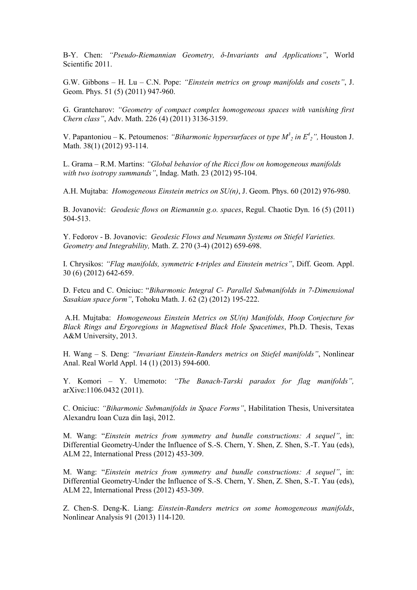B-Y. Chen: *"Pseudo-Riemannian Geometry, δ-Invariants and Applications"*, World Scientific 2011.

G.W. Gibbons – H. Lu – C.N. Pope: *"Einstein metrics on group manifolds and cosets"*, J. Geom. Phys. 51 (5) (2011) 947-960.

G. Grantcharov: *"Geometry of compact complex homogeneous spaces with vanishing first Chern class"*, Adv. Math. 226 (4) (2011) 3136-3159.

V. Papantoniou – K. Petoumenos: *"Biharmonic hypersurfaces ot type M<sup>3</sup> 2 in E<sup>4</sup> <sup>2</sup>",* Houston J. Math. 38(1) (2012) 93-114.

L. Grama – R.M. Martins: *"Global behavior of the Ricci flow on homogeneous manifolds with two isotropy summands"*, Indag. Math. 23 (2012) 95-104.

A.H. Mujtaba: *Homogeneous Einstein metrics on SU(n)*, J. Geom. Phys. 60 (2012) 976-980.

B. Jovanović: *Geodesic flows on Riemannin g.o. spaces*, Regul. Chaotic Dyn. 16 (5) (2011) 504-513.

Y. Fedorov - B. Jovanovic: *Geodesic Flows and Neumann Systems on Stiefel Varieties. Geometry and Integrability,* Math. Z. 270 (3-4) (2012) 659-698.

I. Chrysikos: *"Flag manifolds, symmetric t-triples and Einstein metrics"*, Diff. Geom. Appl. 30 (6) (2012) 642-659.

D. Fetcu and C. Oniciuc: "*Biharmonic Integral C- Parallel Submanifolds in 7-Dimensional Sasakian space form"*, Tohoku Math. J. 62 (2) (2012) 195-222.

 A.H. Mujtaba: *Homogeneous Einstein Metrics on SU(n) Manifolds, Hoop Conjecture for Black Rings and Ergoregions in Magnetised Black Hole Spacetimes*, Ph.D. Thesis, Texas A&M University, 2013.

H. Wang – S. Deng: *"Invariant Einstein-Randers metrics on Stiefel manifolds"*, Nonlinear Anal. Real World Appl. 14 (1) (2013) 594-600.

Y. Komori – Y. Umemoto: *"The Banach-Tarski paradox for flag manifolds",*  arXive:1106.0432 (2011).

C. Oniciuc: *"Biharmonic Submanifolds in Space Forms"*, Habilitation Thesis, Universitatea Alexandru Ioan Cuza din Iaşi, 2012.

M. Wang: "*Einstein metrics from symmetry and bundle constructions: A sequel"*, in: Differential Geometry-Under the Influence of S.-S. Chern, Y. Shen, Z. Shen, S.-T. Yau (eds), ALM 22, International Press (2012) 453-309.

M. Wang: "*Einstein metrics from symmetry and bundle constructions: A sequel"*, in: Differential Geometry-Under the Influence of S.-S. Chern, Y. Shen, Z. Shen, S.-T. Yau (eds), ALM 22, International Press (2012) 453-309.

Z. Chen-S. Deng-K. Liang: *Einstein-Randers metrics on some homogeneous manifolds*, Nonlinear Analysis 91 (2013) 114-120.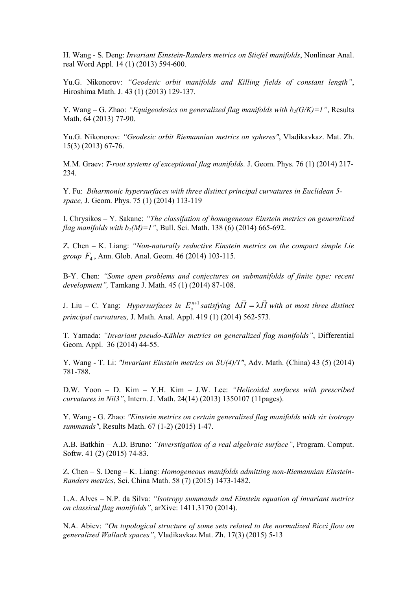H. Wang - S. Deng: *Invariant Einstein-Randers metrics on Stiefel manifolds*, Nonlinear Anal. real Word Appl. 14 (1) (2013) 594-600.

Yu.G. Nikonorov: *"Geodesic orbit manifolds and Killing fields of constant length"*, Hiroshima Math. J. 43 (1) (2013) 129-137.

Y. Wang – G. Zhao: *"Equigeodesics on generalized flag manifolds with b2(G/K)=1"*, Results Math. 64 (2013) 77-90.

Yu.G. Nikonorov: *"Geodesic orbit Riemannian metrics on spheres"*, Vladikavkaz. Mat. Zh. 15(3) (2013) 67-76.

M.M. Graev: *T-root systems of exceptional flag manifolds.* J. Geom. Phys. 76 (1) (2014) 217- 234.

Y. Fu: *Biharmonic hypersurfaces with three distinct principal curvatures in Euclidean 5 space,* J. Geom. Phys. 75 (1) (2014) 113-119

I. Chrysikos – Y. Sakane: *"The classifation of homogeneous Einstein metrics on generalized flag manifolds with*  $b_2(M)=1$ *"*, Bull. Sci. Math. 138 (6) (2014) 665-692.

Z. Chen – K. Liang: *"Non-naturally reductive Einstein metrics on the compact simple Lie group F*<sup>4</sup> , Ann. Glob. Anal. Geom. 46 (2014) 103-115.

B-Y. Chen: *"Some open problems and conjectures on submanifolds of finite type: recent development",* Tamkang J. Math. 45 (1) (2014) 87-108.

J. Liu – C. Yang: *Hypersurfaces in*  $E_s^{n+1}$  *satisfying*  $\Delta \vec{H} = \lambda \vec{H}$  $\Delta H = \lambda H$  with at most three distinct *principal curvatures,* J. Math. Anal. Appl. 419 (1) (2014) 562-573.

 $\rightarrow$ 

T. Yamada: *"Invariant pseudo-Kähler metrics on generalized flag manifolds"*, Differential Geom. Appl. 36 (2014) 44-55.

Y. Wang - T. Li: *"Invariant Einstein metrics on SU(4)/T"*, Adv. Math. (China) 43 (5) (2014) 781-788.

D.W. Yoon – D. Kim – Y.H. Kim – J.W. Lee: *"Helicoidal surfaces with prescribed curvatures in Nil3"*, Intern. J. Math. 24(14) (2013) 1350107 (11pages).

Y. Wang - G. Zhao: *"Einstein metrics on certain generalized flag manifolds with six isotropy summands"*, Results Math. 67 (1-2) (2015) 1-47.

A.B. Batkhin – A.D. Bruno: *"Inverstigation of a real algebraic surface"*, Program. Comput. Softw. 41 (2) (2015) 74-83.

Z. Chen – S. Deng – K. Liang: *Homogeneous manifolds admitting non-Riemannian Einstein-Randers metrics*, Sci. China Math. 58 (7) (2015) 1473-1482.

L.A. Alves – N.P. da Silva: *"Isotropy summands and Einstein equation of invariant metrics on classical flag manifolds"*, arXive: 1411.3170 (2014).

Ν.Α. Abiev: *"On topological structure of some sets related to the normalized Ricci flow on generalized Wallach spaces"*, Vladikavkaz Mat. Zh. 17(3) (2015) 5-13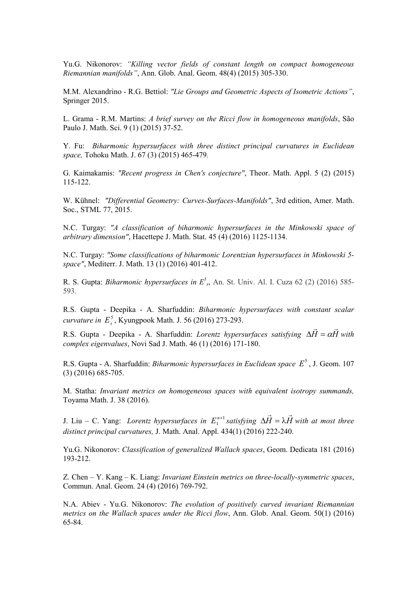Yu.G. Nikonorov: *"Killing vector fields of constant length on compact homogeneous Riemannian manifolds"*, Ann. Glob. Anal. Geom. 48(4) (2015) 305-330.

M.M. Alexandrino - R.G. Bettiol: *"Lie Groups and Geometric Aspects of Isometric Actions"*, Springer 2015.

L. Grama - R.M. Martins: *A brief survey on the Ricci flow in homogeneous manifolds*, São Paulo J. Math. Sci. 9 (1) (2015) 37-52.

Y. Fu: *Biharmonic hypersurfaces with three distinct principal curvatures in Euclidean space,* Tohoku Math. J. 67 (3) (2015) 465-479*.* 

G. Kaimakamis: *"Recent progress in Chen's conjecture"*, Theor. Math. Appl. 5 (2) (2015) 115-122.

W. Kühnel: *"Differential Geometry: Curves-Surfaces-Manifolds"*, 3rd edition, Amer. Math. Soc., STML 77, 2015.

N.C. Turgay: *"A classification of biharmonic hypersurfaces in the Minkowski space of arbitrary dimension"*, Hacettepe J. Math. Stat. 45 (4) (2016) 1125-1134.

N.C. Turgay: *"Some classifications of biharmonic Lorentzian hypersurfaces in Minkowski 5 space"*, Mediterr. J. Math. 13 (1) (2016) 401-412.

R. S. Gupta: *Biharmonic hypersurfaces in*  $E^5$ *<sub>s</sub>*, An. St. Univ. Al. I. Cuza 62 (2) (2016) 585-593.

R.S. Gupta - Deepika - A. Sharfuddin: *Biharmonic hypersurfaces with constant scalar curvature in*  $E_s^5$ , Kyungpook Math. J. 56 (2016) 273-293.  $\rightarrow$ 

R.S. Gupta - Deepika - A. Sharfuddin: *Lorentz hypersurfaces satisfying*  $\Delta H = \alpha H$  $\Delta H = \alpha H$  with *complex eigenvalues*, Novi Sad J. Math. 46 (1) (2016) 171-180.

R.S. Gupta - A. Sharfuddin: *Biharmonic hypersurfaces in Euclidean space*  $E^5$ , J. Geom. 107 (3) (2016) 685-705.

M. Statha: *Invariant metrics on homogeneous spaces with equivalent isotropy summands,*  Toyama Math. J. 38 (2016).

J. Liu – C. Yang: *Lorentz hypersurfaces in*  $E_1^{n+1}$  *satisfying*  $\Delta \vec{H} = \lambda \vec{H}$  $\Delta H = \lambda H$  with at most three *distinct principal curvatures,* J. Math. Anal. Appl. 434(1) (2016) 222-240.

 $\rightarrow$ 

Yu.G. Nikonorov: *Classification of generalized Wallach spaces*, Geom. Dedicata 181 (2016) 193-212.

Z. Chen – Y. Kang – K. Liang: *Invariant Einstein metrics on three-locally-symmetric spaces*, Commun. Anal. Geom. 24 (4) (2016) 769-792.

Ν.Α. Abiev - Yu.G. Nikonorov: *The evolution of positively curved invariant Riemannian metrics on the Wallach spaces under the Ricci flow*, Ann. Glob. Anal. Geom. 50(1) (2016) 65-84.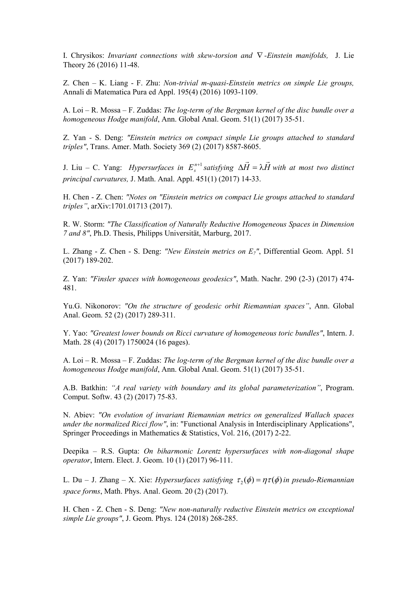I. Chrysikos: *Invariant connections with skew-torsion and* ∇ *-Einstein manifolds,* J. Lie Theory 26 (2016) 11-48.

Z. Chen – K. Liang - F. Zhu: *Non-trivial m-quasi-Einstein metrics on simple Lie groups,*  Annali di Matematica Pura ed Appl. 195(4) (2016) 1093-1109.

A. Loi – R. Mossa – F. Zuddas: *The log-term of the Bergman kernel of the disc bundle over a homogeneous Hodge manifold*, Ann. Global Anal. Geom. 51(1) (2017) 35-51.

Z. Yan - S. Deng: *"Einstein metrics on compact simple Lie groups attached to standard triples"*, Trans. Amer. Math. Society 369 (2) (2017) 8587-8605.

J. Liu – C. Yang: *Hypersurfaces in*  $E_s^{n+1}$  *satisfying*  $\Delta \vec{H} = \lambda \vec{H}$  $\Delta H = \lambda H$  with at most two distinct *principal curvatures,* J. Math. Anal. Appl. 451(1) (2017) 14-33.

 $\rightarrow$ 

H. Chen - Z. Chen: *"Notes on "Einstein metrics on compact Lie groups attached to standard triples"*, arXiv:1701.01713 (2017).

R. W. Storm: *"The Classification of Naturally Reductive Homogeneous Spaces in Dimension 7 and 8"*, Ph.D. Thesis, Philipps Universität, Marburg, 2017.

L. Zhang - Z. Chen - S. Deng: *"New Einstein metrics on E7"*, Differential Geom. Appl. 51 (2017) 189-202.

Z. Yan: *"Finsler spaces with homogeneous geodesics"*, Math. Nachr. 290 (2-3) (2017) 474- 481.

Yu.G. Nikonorov: *"On the structure of geodesic orbit Riemannian spaces"*, Ann. Global Anal. Geom. 52 (2) (2017) 289-311.

Y. Yao: *"Greatest lower bounds on Ricci curvature of homogeneous toric bundles"*, Intern. J. Math. 28 (4) (2017) 1750024 (16 pages).

A. Loi – R. Mossa – F. Zuddas: *The log-term of the Bergman kernel of the disc bundle over a homogeneous Hodge manifold*, Ann. Global Anal. Geom. 51(1) (2017) 35-51.

A.B. Batkhin: *"A real variety with boundary and its global parameterization"*, Program. Comput. Softw. 43 (2) (2017) 75-83.

N. Abiev: *"On evolution of invariant Riemannian metrics on generalized Wallach spaces under the normalized Ricci flow"*, in: "Functional Analysis in Interdisciplinary Applications", Springer Proceedings in Mathematics & Statistics, Vol. 216, (2017) 2-22.

Deepika – R.S. Gupta: *On biharmonic Lorentz hypersurfaces with non-diagonal shape operator*, Intern. Elect. J. Geom. 10 (1) (2017) 96-111.

L. Du – J. Zhang – X. Xie: *Hypersurfaces satisfying*  $\tau_2(\phi) = \eta \tau(\phi)$  in pseudo-Riemannian *space forms*, Math. Phys. Anal. Geom. 20 (2) (2017).

H. Chen - Z. Chen - S. Deng: *"New non-naturally reductive Einstein metrics on exceptional simple Lie groups"*, J. Geom. Phys. 124 (2018) 268-285.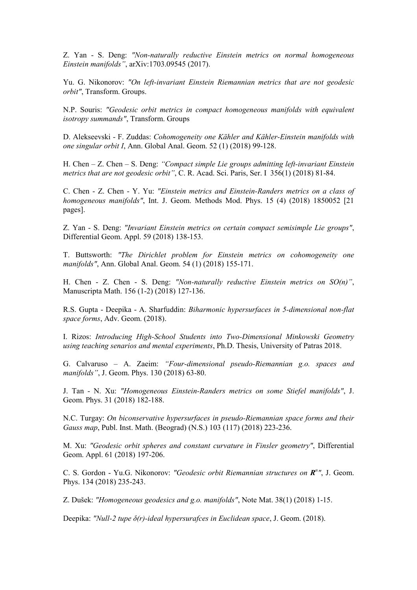Z. Yan - S. Deng: *"Non-naturally reductive Einstein metrics on normal homogeneous Einstein manifolds"*, arXiv:1703.09545 (2017).

Yu. G. Nikonorov: *"On left-invariant Einstein Riemannian metrics that are not geodesic orbit"*, Transform. Groups.

N.P. Souris: *"Geodesic orbit metrics in compact homogeneous manifolds with equivalent isotropy summands"*, Transform. Groups

D. Alekseevski - F. Zuddas: *Cohomogeneity one Kähler and Kähler-Einstein manifolds with one singular orbit I*, Ann. Global Anal. Geom. 52 (1) (2018) 99-128.

H. Chen – Z. Chen – S. Deng: *"Compact simple Lie groups admitting left-invariant Einstein metrics that are not geodesic orbit"*, C. R. Acad. Sci. Paris, Ser. I 356(1) (2018) 81-84.

C. Chen - Z. Chen - Y. Yu: *"Einstein metrics and Einstein-Randers metrics on a class of homogeneous manifolds"*, Int. J. Geom. Methods Mod. Phys. 15 (4) (2018) 1850052 [21 pages].

Z. Yan - S. Deng: *"Invariant Einstein metrics on certain compact semisimple Lie groups"*, Differential Geom. Appl. 59 (2018) 138-153.

T. Buttsworth: *"The Dirichlet problem for Einstein metrics on cohomogeneity one manifolds"*, Ann. Global Anal. Geom. 54 (1) (2018) 155-171.

H. Chen - Z. Chen - S. Deng: *"Non-naturally reductive Einstein metrics on SO(n)"*, Manuscripta Math. 156 (1-2) (2018) 127-136.

R.S. Gupta - Deepika - A. Sharfuddin: *Biharmonic hypersurfaces in 5-dimensional non-flat space forms*, Adv. Geom. (2018).

I. Rizos: *Introducing High-School Students into Two-Dimensional Minkowski Geometry using teaching senarios and mental experiments*, Ph.D. Thesis, University of Patras 2018.

G. Calvaruso – A. Zaeim: *"Four-dimensional pseudo-Riemannian g.o. spaces and manifolds"*, J. Geom. Phys. 130 (2018) 63-80.

J. Tan - N. Xu: *"Homogeneous Einstein-Randers metrics on some Stiefel manifolds"*, J. Geom. Phys. 31 (2018) 182-188.

N.C. Turgay: *On biconservative hypersurfaces in pseudo-Riemannian space forms and their Gauss map*, Publ. Inst. Math. (Beograd) (N.S.) 103 (117) (2018) 223-236.

M. Xu: *"Geodesic orbit spheres and constant curvature in Finsler geometry"*, Differential Geom. Appl. 61 (2018) 197-206.

C. S. Gordon - Yu.G. Nikonorov: *"Geodesic orbit Riemannian structures on R n "*, J. Geom. Phys. 134 (2018) 235-243.

Z. Dušek: *"Homogeneous geodesics and g.o. manifolds"*, Note Mat. 38(1) (2018) 1-15.

Deepika: *"Null-2 tupe δ(r)-ideal hypersurafces in Euclidean space*, J. Geom. (2018).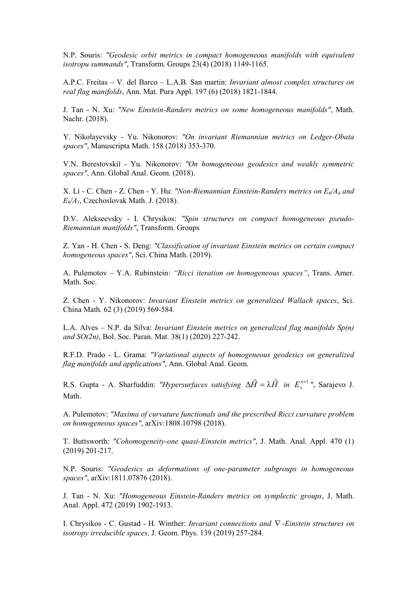N.P. Souris: *"Geodesic orbit metrics in compact homogeneous manifolds with equivalent isotropu summands"*, Transform. Groups 23(4) (2018) 1149-1165.

A.P.C. Freitas – V. del Barco – L.A.B. San martin: *Invariant almost complex structures on real flag manifolds*, Ann. Mat. Pura Appl. 197 (6) (2018) 1821-1844.

J. Tan - N. Xu: *"New Einstein-Randers metrics on some homogeneous manifolds"*, Math. Nachr. (2018).

Y. Nikolayevsky - Yu. Nikonorov: *"On invariant Riemannian metrics on Ledger-Obata spaces"*, Manuscripta Math. 158 (2018) 353-370.

V.N. Berestovskiĭ - Yu. Nikonorov: *"On homogeneous geodesics and weakly symmetric spaces"*, Ann. Global Anal. Geom. (2018).

X. Li - C. Chen - Z. Chen - Y. Hu: *"Non-Riemannian Einstein-Randers metrics on E6/A4 and*   $E_6/A_1$ , Czechoslovak Math. J. (2018).

D.V. Alekseevsky - I. Chrysikos: *"Spin structures on compact homogeneous pseudo-Riemannian manifolds"*, Transform. Groups

Z. Yan - H. Chen - S. Deng: *"Classification of invariant Einstein metrics on certain compact homogeneous spaces"*, Sci. China Math. (2019).

A. Pulemotov – Y.A. Rubinstein: *"Ricci iteration on homogeneous spaces"*, Trans. Amer. Math. Soc.

Z. Chen - Y. Nikonorov: *Invariant Einstein metrics on generalized Wallach spaces*, Sci. China Math. 62 (3) (2019) 569-584.

L.A. Alves – N.P. da Silva: *Invariant Einstein metrics on generalized flag manifolds Sp(n) and SO(2n)*, Bol. Soc. Paran. Mat. 38(1) (2020) 227-242.

R.F.D. Prado - L. Grama: *"Variational aspects of homogeneous geodesics on generalized flag manifolds and applications"*, Ann. Global Anal. Geom.

R.S. Gupta - A. Sharfuddin: *"Hypersurfaces satisfying*  $\Delta H = \lambda H$  $\overrightarrow{r}$  $\Delta \vec{H} = \lambda \vec{H}$  *in*  $E_s^{n+1}$ ", Sarajevo J. Math.

A. Pulemotov: *"Maxima of curvature functionals and the prescribed Ricci curvature problem on homogeneous spaces"*, arXiv:1808.10798 (2018).

T. Buttsworth: *"Cohomogeneity-one quasi-Einstein metrics"*, J. Math. Anal. Appl. 470 (1) (2019) 201-217.

N.P. Souris: *"Geodesics as deformations of one-parameter subgroups in homogeneous spaces"*, arXiv:1811.07876 (2018).

J. Tan - N. Xu: *"Homogeneous Einstein-Randers metrics on symplectic groups*, J. Math. Anal. Appl. 472 (2019) 1902-1913.

I. Chrysikos - C. Gustad - H. Winther: *Invariant connections and* ∇ *-Einstein structures on isotropy irreducible spaces,* J. Geom. Phys. 139 (2019) 257-284.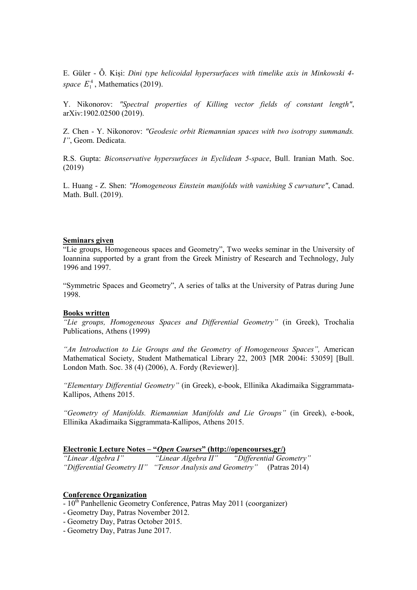E. Güler - Ȫ. Kiși: *Dini type helicoidal hypersurfaces with timelike axis in Minkowski 4 space*  $E_1^4$ , Mathematics (2019).

Y. Nikonorov: *"Spectral properties of Killing vector fields of constant length"*, arXiv:1902.02500 (2019).

Z. Chen - Y. Nikonorov: *"Geodesic orbit Riemannian spaces with two isotropy summands. I"*, Geom. Dedicata.

R.S. Gupta: *Biconservative hypersurfaces in Eyclidean 5-space*, Bull. Iranian Math. Soc. (2019)

L. Huang - Z. Shen: *"Homogeneous Einstein manifolds with vanishing S curvature"*, Canad. Math. Bull. (2019).

## **Seminars given**

"Lie groups, Homogeneous spaces and Geometry", Two weeks seminar in the University of Ioannina supported by a grant from the Greek Ministry of Research and Technology, July 1996 and 1997.

"Symmetric Spaces and Geometry", A series of talks at the University of Patras during June 1998.

## **Books written**

*"Lie groups, Homogeneous Spaces and Differential Geometry"* (in Greek), Trochalia Publications, Athens (1999)

*"An Introduction to Lie Groups and the Geometry of Homogeneous Spaces",* American Mathematical Society, Student Mathematical Library 22, 2003 [MR 2004i: 53059] [Bull. London Math. Soc. 38 (4) (2006), A. Fordy (Reviewer)].

*"Elementary Differential Geometry"* (in Greek), e-book, Ellinika Akadimaika Siggrammata-Kallipos, Athens 2015.

*"Geometry of Manifolds. Riemannian Manifolds and Lie Groups"* (in Greek), e-book, Ellinika Akadimaika Siggrammata-Kallipos, Athens 2015.

#### **Electronic Lecture Notes – "***Open Courses***" (http://opencourses.gr/)**

| "Linear Algebra I"         | "Linear Algebra II"            | "Differential Geometry" |               |
|----------------------------|--------------------------------|-------------------------|---------------|
| "Differential Geometry II" | "Tensor Analysis and Geometry" |                         | (Patras 2014) |

## **Conference Organization**

- 10<sup>th</sup> Panhellenic Geometry Conference, Patras May 2011 (coorganizer)
- Geometry Day, Patras November 2012.
- Geometry Day, Patras October 2015.
- Geometry Day, Patras June 2017.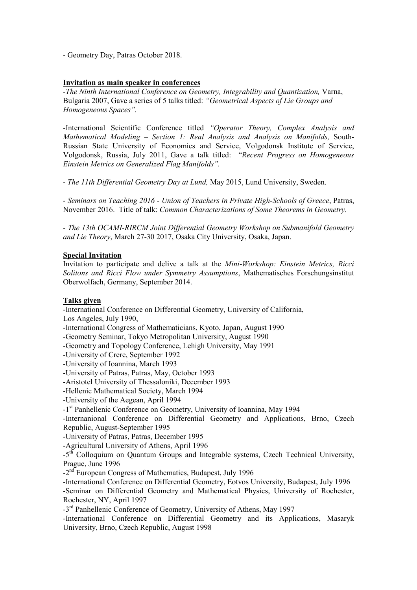- Geometry Day, Patras October 2018.

## **Invitation as main speaker in conferences**

*-The Ninth International Conference on Geometry, Integrability and Quantization, Varna,* Bulgaria 2007, Gave a series of 5 talks titled: *"Geometrical Aspects of Lie Groups and Homogeneous Spaces".* 

*-*International Scientific Conference titled *"Operator Theory, Complex Analysis and Mathematical Modeling – Section 1: Real Analysis and Analysis on Manifolds,* South-Russian State University of Economics and Service, Volgodonsk Institute of Service, Volgodonsk, Russia, July 2011, Gave a talk titled: "*Recent Progress on Homogeneous Einstein Metrics on Generalized Flag Manifolds".* 

- *The 11th Differential Geometry Day at Lund,* May 2015, Lund University, Sweden.

- *Seminars on Teaching 2016 - Union of Teachers in Private High-Schools of Greece*, Patras, November 2016. Title of talk: *Common Characterizations of Some Theorems in Geometry.* 

*- The 13th OCAMI-RIRCM Joint Differential Geometry Workshop on Submanifold Geometry and Lie Theory*, March 27-30 2017, Osaka City University, Osaka, Japan.

### **Special Invitation**

Invitation to participate and delive a talk at the *Mini-Workshop: Einstein Metrics, Ricci Solitons and Ricci Flow under Symmetry Assumptions*, Mathematisches Forschungsinstitut Oberwolfach, Germany, September 2014.

### **Talks given**

-International Conference on Differential Geometry, University of California, Los Angeles, July 1990,

-International Congress of Mathematicians, Kyoto, Japan, August 1990

-Geometry Seminar, Tokyo Metropolitan University, August 1990

-Geometry and Topology Conference, Lehigh University, May 1991

-University of Crere, September 1992

-University of Ioannina, March 1993

-University of Patras, Patras, May, October 1993

-Aristotel University of Thessaloniki, December 1993

-Hellenic Mathematical Society, March 1994

-University of the Aegean, April 1994

-1<sup>st</sup> Panhellenic Conference on Geometry, University of Ioannina, May 1994

-Internanional Conference on Differential Geometry and Applications, Brno, Czech Republic, August-September 1995

-University of Patras, Patras, December 1995

-Agricultural University of Athens, April 1996

-5<sup>th</sup> Colloquium on Quantum Groups and Integrable systems, Czech Technical University, Prague, June 1996

-2nd European Congress of Mathematics, Budapest, July 1996

-International Conference on Differential Geometry, Eotvos University, Budapest, July 1996 -Seminar on Differential Geometry and Mathematical Physics, University of Rochester, Rochester, NY, April 1997

-3<sup>rd</sup> Panhellenic Conference of Geometry, University of Athens, May 1997

-International Conference on Differential Geometry and its Applications, Masaryk University, Brno, Czech Republic, August 1998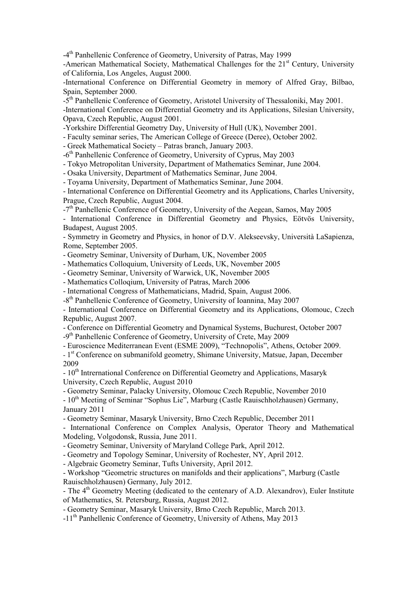-4th Panhellenic Conference of Geometry, University of Patras, May 1999

-American Mathematical Society, Mathematical Challenges for the 21<sup>st</sup> Century, University of California, Los Angeles, August 2000.

-International Conference on Differential Geometry in memory of Alfred Gray, Bilbao, Spain, September 2000.

-5th Panhellenic Conference of Geometry, Aristotel University of Thessaloniki, May 2001.

-International Conference on Differential Geometry and its Applications, Silesian University, Opava, Czech Republic, August 2001.

-Yorkshire Differential Geometry Day, University of Hull (UK), November 2001.

- Faculty seminar series, The American College of Greece (Deree), October 2002.

- Greek Mathematical Society – Patras branch, January 2003.

-6<sup>th</sup> Panhellenic Conference of Geometry, University of Cyprus, May 2003

- Tokyo Metropolitan University, Department of Mathematics Seminar, June 2004.

- Osaka University, Department of Mathematics Seminar, June 2004.

- Toyama University, Department of Mathematics Seminar, June 2004.

- International Conference on Differential Geometry and its Applications, Charles University, Prague, Czech Republic, August 2004.

-7th Panhellenic Conference of Geometry, University of the Aegean, Samos, May 2005

- International Conference in Differential Geometry and Physics, Εötvös University, Budapest, August 2005.

- Symmetry in Geometry and Physics, in honor of D.V. Alekseevsky, Università LaSapienza, Rome, September 2005.

- Geometry Seminar, University of Durham, UK, November 2005

- Mathematics Colloquium, University of Leeds, UK, November 2005

- Geometry Seminar, University of Warwick, UK, November 2005

- Mathematics Colloqium, University of Patras, March 2006

- International Congress of Mathematicians, Madrid, Spain, August 2006.

-8<sup>th</sup> Panhellenic Conference of Geometry, University of Ioannina, May 2007

- International Conference on Differential Geometry and its Applications, Olomouc, Czech Republic, August 2007.

- Conference on Differential Geometry and Dynamical Systems, Buchurest, October 2007

-9<sup>th</sup> Panhellenic Conference of Geometry, University of Crete, May 2009

- Euroscience Mediterranean Event (ESME 2009), "Technopolis", Athens, October 2009.

- 1<sup>st</sup> Conference on submanifold geometry, Shimane University, Matsue, Japan, December 2009

- 10<sup>th</sup> Intrernational Conference on Differential Geometry and Applications, Masaryk University, Czech Republic, August 2010

- Geometry Seminar, Palacky University, Olomouc Czech Republic, November 2010

- 10<sup>th</sup> Meeting of Seminar "Sophus Lie", Marburg (Castle Rauischholzhausen) Germany, January 2011

- Geometry Seminar, Masaryk University, Brno Czech Republic, December 2011

- International Conference on Complex Analysis, Operator Theory and Mathematical Modeling, Volgodonsk, Russia, June 2011.

- Geometry Seminar, University of Maryland College Park, April 2012.

- Geometry and Topology Seminar, University of Rochester, NY, April 2012.

- Algebraic Geometry Seminar, Tufts University, April 2012.

- Workshop "Geometric structures on manifolds and their applications", Marburg (Castle Rauischholzhausen) Germany, July 2012.

- The 4<sup>th</sup> Geometry Meeting (dedicated to the centenary of A.D. Alexandrov), Euler Institute of Mathematics, St. Petersburg, Russia, Αugust 2012.

- Geometry Seminar, Masaryk University, Brno Czech Republic, March 2013.

-11<sup>th</sup> Panhellenic Conference of Geometry, University of Athens, May 2013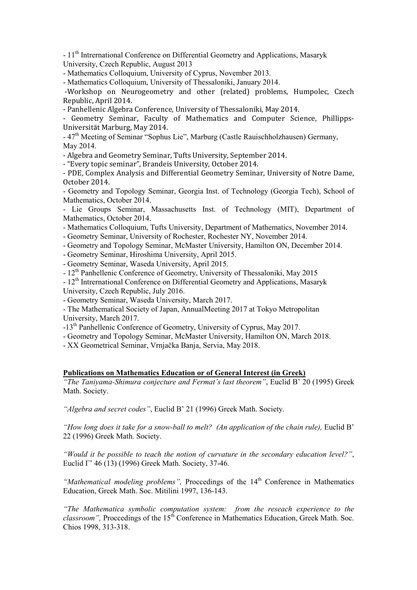- 11<sup>th</sup> Intrernational Conference on Differential Geometry and Applications, Masaryk University, Czech Republic, August 2013

- Mathematics Colloquium, University of Cyprus, November 2013.

- Mathematics Colloquium, University of Thessaloniki, January 2014.

 -Workshop on Neurogeometry and other (related) problems, Humpolec, Czech Republic, April 2014.

- Panhellenic Algebra Conference, University of Thessaloniki, May 2014.

- Geometry Seminar, Faculty of Mathematics and Computer Science, Phillipps-Universität Marburg, Μay 2014.

- 47<sup>th</sup> Meeting of Seminar "Sophus Lie", Marburg (Castle Rauischholzhausen) Germany, May 2014.

- Algebra and Geometry Seminar, Tufts University, September 2014.

- "Every topic seminar", Brandeis University, October 2014.

- PDE, Complex Analysis and Differential Geometry Seminar, University of Notre Dame, October 2014.

- Geometry and Topology Seminar, Georgia Inst. of Technology (Georgia Tech), School of Mathematics, October 2014.

- Lie Groups Seminar, Massachusetts Inst. of Technology (MIT), Department of Mathematics, October 2014.

- Mathematics Colloquium, Tufts University, Department of Mathematics, November 2014.

- Geometry Seminar, University of Rochester, Rochester NY, November 2014.

- Geometry and Topology Seminar, McMaster University, Hamilton ON, December 2014.

- Geometry Seminar, Hiroshima University, April 2015.

- Geometry Seminar, Waseda University, April 2015.

- 12<sup>th</sup> Panhellenic Conference of Geometry, University of Thessaloniki, May 2015

- 12<sup>th</sup> Intrernational Conference on Differential Geometry and Applications, Masaryk

University, Czech Republic, July 2016.

- Geometry Seminar, Waseda University, March 2017.

- The Mathematical Society of Japan, ΑnnualMeeting 2017 at Tokyo Metropolitan University, March 2017.

-13<sup>th</sup> Panhellenic Conference of Geometry, University of Cyprus, May 2017.

- Geometry and Topology Seminar, McMaster University, Hamilton ON, March 2018.

- XX Geometrical Seminar, Vrnjačka Banja, Servia, May 2018.

### **Publications on Mathematics Education or of General Interest (in Greek)**

*"The Taniyama-Shimura conjecture and Fermat's last theorem"*, Euclid B' 20 (1995) Greek Math. Society.

*"Algebra and secret codes"*, Euclid B' 21 (1996) Greek Math. Society.

*"How long does it take for a snow-ball to melt? (An application of the chain rule), Euclid B'* 22 (1996) Greek Math. Society.

*"Would it be possible to teach the notion of curvature in the secondary education level?"*, Euclid Γ' 46 (13) (1996) Greek Math. Society, 37-46.

"Mathematical modeling problems", Proccedings of the 14<sup>th</sup> Conference in Mathematics Education, Greek Math. Soc. Mitilini 1997, 136-143.

*"The Mathematica symbolic computation system: from the reseach experience to the classroom"*, Proccedings of the  $15<sup>th</sup>$  Conference in Mathematics Education, Greek Math. Soc. Chios 1998, 313-318.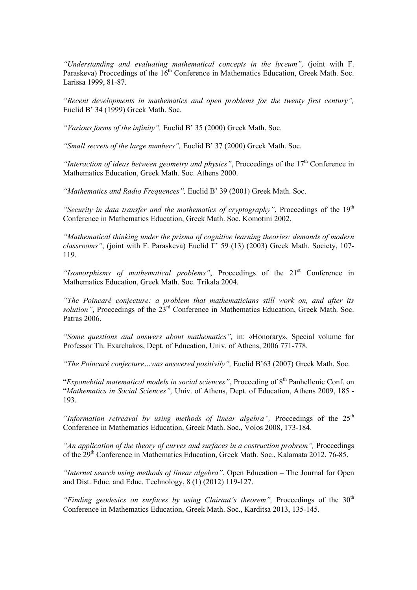*"Understanding and evaluating mathematical concepts in the lyceum",* (joint with F. Paraskeva) Proccedings of the  $16<sup>th</sup>$  Conference in Mathematics Education, Greek Math. Soc. Larissa 1999, 81-87.

*"Recent developments in mathematics and open problems for the twenty first century",* Euclid B' 34 (1999) Greek Math. Soc.

*"Various forms of the infinity",* Euclid B' 35 (2000) Greek Math. Soc.

*"Small secrets of the large numbers",* Euclid B' 37 (2000) Greek Math. Soc.

*"Interaction of ideas between geometry and physics"*, Proccedings of the 17<sup>th</sup> Conference in Mathematics Education, Greek Math. Soc. Athens 2000.

*"Mathematics and Radio Frequences",* Euclid B' 39 (2001) Greek Math. Soc.

*"Security in data transfer and the mathematics of cryptography"*, Proccedings of the 19<sup>th</sup> Conference in Mathematics Education, Greek Math. Soc. Komotini 2002.

*"Mathematical thinking under the prisma of cognitive learning theories: demands of modern classrooms"*, (joint with F. Paraskeva) Euclid Γ' 59 (13) (2003) Greek Math. Society, 107- 119.

"Isomorphisms of mathematical problems", Proccedings of the 21<sup>st</sup> Conference in Mathematics Education, Greek Math. Soc. Trikala 2004.

*"The Poincaré conjecture: a problem that mathematicians still work on, and after its solution"*, Proccedings of the 23<sup>rd</sup> Conference in Mathematics Education, Greek Math. Soc. Patras 2006.

*"Some questions and answers about mathematics",* in: «Honorary», Special volume for Professor Th. Exarchakos, Dept. of Education, Univ. of Athens, 2006 771-778.

*"The Poincaré conjecture...was answered positivily", Euclid B'63 (2007) Greek Math. Soc.* 

"*Exponebtial matematical models in social sciences*", Procceding of 8<sup>th</sup> Panhellenic Conf. on "*Mathematics in Social Sciences",* Univ. of Athens, Dept. of Education, Athens 2009, 185 - 193.

"Information retreaval by using methods of linear algebra", Proccedings of the  $25<sup>th</sup>$ Conference in Mathematics Education, Greek Math. Soc., Volos 2008, 173-184.

"An application of the theory of curves and surfaces in a costruction probrem", Proccedings of the 29<sup>th</sup> Conference in Mathematics Education, Greek Math. Soc., Kalamata 2012, 76-85.

*"Internet search using methods of linear algebra"*, Open Education – The Journal for Open and Dist. Educ. and Educ. Technology, 8 (1) (2012) 119-127.

*"Finding geodesics on surfaces by using Clairaut's theorem"*, Proccedings of the  $30<sup>th</sup>$ Conference in Mathematics Education, Greek Math. Soc., Karditsa 2013, 135-145.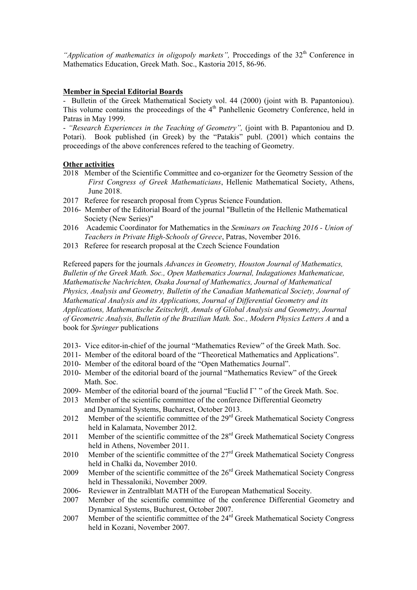*"Application of mathematics in oligopoly markets"*, Proccedings of the 32<sup>th</sup> Conference in Mathematics Education, Greek Math. Soc., Kastoria 2015, 86-96.

### **Member in Special Editorial Boards**

- Bulletin of the Greek Mathematical Society vol. 44 (2000) (joint with B. Papantoniou). This volume contains the proceedings of the 4<sup>th</sup> Panhellenic Geometry Conference, held in Patras in May 1999.

- *"Research Experiences in the Teaching of Geometry",* (joint with B. Papantoniou and D. Potari). Book published (in Greek) by the "Patakis" publ. (2001) which contains the proceedings of the above conferences refered to the teaching of Geometry.

### **Other activities**

- 2018 Member of the Scientific Committee and co-organizer for the Geometry Session of the *First Congress of Greek Mathematicians*, Hellenic Mathematical Society, Athens, June 2018.
- 2017 Referee for research proposal from Cyprus Science Foundation.
- 2016- Member of the Editorial Board of the journal "Bulletin of the Hellenic Mathematical Society (New Series)"
- 2016 Academic Coordinator for Mathematics in the *Seminars on Teaching 2016 Union of Teachers in Private High-Schools of Greece*, Patras, November 2016.
- 2013 Referee for research proposal at the Czech Science Foundation

Refereed papers for the journals *Advances in Geometry, Houston Journal of Mathematics, Bulletin of the Greek Math. Soc., Open Mathematics Journal, Indagationes Mathematicae, Mathematische Nachrichten, Osaka Journal of Mathematics, Journal of Mathematical Physics, Analysis and Geometry, Bulletin of the Canadian Mathematical Society, Journal of Mathematical Analysis and its Applications, Journal of Differential Geometry and its Applications, Mathematische Zeitschrift, Annals of Global Analysis and Geometry, Journal of Geometric Analysis, Bulletin of the Brazilian Math. Soc., Modern Physics Letters A* and a book for *Springer* publications

- 2013- Vice editor-in-chief of the journal "Mathematics Review" of the Greek Math. Soc.
- 2011- Member of the editoral board of the "Theoretical Mathematics and Applications".
- 2010- Member of the editoral board of the "Open Mathematics Journal".
- 2010- Member of the editorial board of the journal "Mathematics Review" of the Greek Math. Soc.
- 2009- Member of the editorial board of the journal "Euclid Γ' " of the Greek Math. Soc.
- 2013 Member of the scientific committee of the conference Differential Geometry and Dynamical Systems, Bucharest, October 2013.
- 2012 Member of the scientific committee of the 29<sup>rd</sup> Greek Mathematical Society Congress held in Kalamata, November 2012.
- 2011 Member of the scientific committee of the 28<sup>rd</sup> Greek Mathematical Society Congress held in Athens, November 2011.
- 2010 Member of the scientific committee of the 27<sup>rd</sup> Greek Mathematical Society Congress held in Chalki da, November 2010.
- 2009 Member of the scientific committee of the 26<sup>rd</sup> Greek Mathematical Society Congress held in Thessaloniki, November 2009.
- 2006- Reviewer in Zentralblatt MATH of the European Mathematical Soceity.
- 2007 Member of the scientific committee of the conference Differential Geometry and Dynamical Systems, Buchurest, October 2007.
- 2007 Member of the scientific committee of the 24rd Greek Mathematical Society Congress held in Kozani, November 2007.